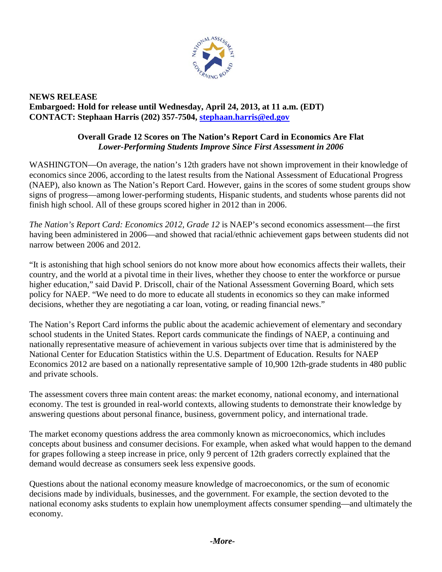

## **NEWS RELEASE Embargoed: Hold for release until Wednesday, April 24, 2013, at 11 a.m. (EDT) CONTACT: Stephaan Harris (202) 357-7504, [stephaan.harris@ed.gov](mailto:stephaan.harris@ed.gov)**

## **Overall Grade 12 Scores on The Nation's Report Card in Economics Are Flat** *Lower-Performing Students Improve Since First Assessment in 2006*

WASHINGTON—On average, the nation's 12th graders have not shown improvement in their knowledge of economics since 2006, according to the latest results from the National Assessment of Educational Progress (NAEP), also known as The Nation's Report Card. However, gains in the scores of some student groups show signs of progress—among lower-performing students, Hispanic students, and students whose parents did not finish high school. All of these groups scored higher in 2012 than in 2006.

*The Nation's Report Card: Economics 2012, Grade 12* is NAEP's second economics assessment—the first having been administered in 2006—and showed that racial/ethnic achievement gaps between students did not narrow between 2006 and 2012.

"It is astonishing that high school seniors do not know more about how economics affects their wallets, their country, and the world at a pivotal time in their lives, whether they choose to enter the workforce or pursue higher education," said David P. Driscoll, chair of the National Assessment Governing Board, which sets policy for NAEP. "We need to do more to educate all students in economics so they can make informed decisions, whether they are negotiating a car loan, voting, or reading financial news."

The Nation's Report Card informs the public about the academic achievement of elementary and secondary school students in the United States. Report cards communicate the findings of NAEP, a continuing and nationally representative measure of achievement in various subjects over time that is administered by the National Center for Education Statistics within the U.S. Department of Education. Results for NAEP Economics 2012 are based on a nationally representative sample of 10,900 12th-grade students in 480 public and private schools.

The assessment covers three main content areas: the market economy, national economy, and international economy. The test is grounded in real-world contexts, allowing students to demonstrate their knowledge by answering questions about personal finance, business, government policy, and international trade.

The market economy questions address the area commonly known as microeconomics, which includes concepts about business and consumer decisions. For example, when asked what would happen to the demand for grapes following a steep increase in price, only 9 percent of 12th graders correctly explained that the demand would decrease as consumers seek less expensive goods.

Questions about the national economy measure knowledge of macroeconomics, or the sum of economic decisions made by individuals, businesses, and the government. For example, the section devoted to the national economy asks students to explain how unemployment affects consumer spending—and ultimately the economy.